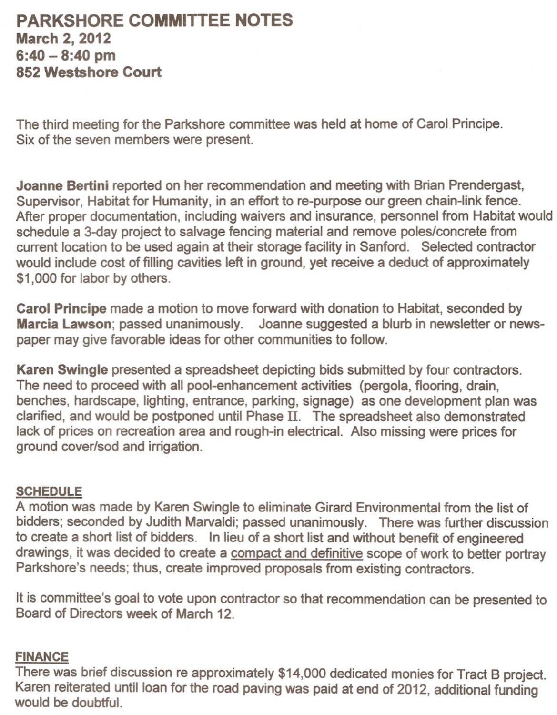# **PARKSHORE COMMITTEE NOTES March 2, 2012 6:40 - 8:40 pm 852 Westshore Court**

The third meeting for the Parkshore committee was held at home of Carol Principe. Six of the seven members were present.

**Joanne Bertini** reported on her recommendation and meeting with Brian Prendergast, Supervisor, Habitat for Humanity, in an effort to re-purpose our green chain-link fence. After proper documentation, including waivers and insurance, personnel from Habitat would schedule a 3-day project to salvage fencing material and remove poles/concrete from current location to be used again at their storage facility in Sanford. Selected contractor would include cost of filling cavities left in ground, yet receive a deduct of approximately \$1,000 for labor by others.

**Carol Principe** made a motion to move forward with donation to Habitat, seconded by **Marcia** Lawson; passed unanimously. Joanne suggested a blurb in newsletter or newspaper may give favorable ideas for other communities to follow.

**Karen Swingle** presented a spreadsheet depicting bids submitted by four contractors. The need to proceed with all pool-enhancement activities (pergola, flooring, drain, benches, hardscape, lighting, entrance, parking, signage) as one development plan was clarified, and would be postponed until Phase II. The spreadsheet also demonstrated lack of prices on recreation area and rough-in electrical. Also missing were prices for ground cover/sod and irrigation.

### **SCHEDULE**

A motion was made by Karen Swingle to eliminate Girard Environmental from the list of bidders; seconded by Judith Marvaldi; passed unanimously. There was further discussion to create a short list of bidders. In lieu of a short list and without benefit of engineered drawings, it was decided to create a compact and definitive scope of work to better portray Parkshore's needs; thus, create improved proposals from existing contractors.

It is committee's goal to vote upon contractor so that recommendation can be presented to Board of Directors week of March 12.

#### **FINANCE**

There was brief discussion re approximately \$14,000 dedicated monies for Tract B project. Karen reiterated until loan for the road paving was paid at end of 2012, additional funding would be doubtful.